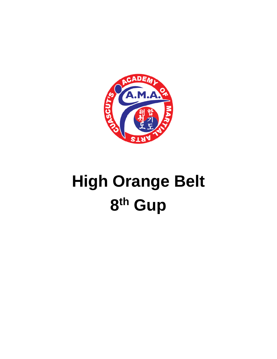

## **High Orange Belt** 8th Gup